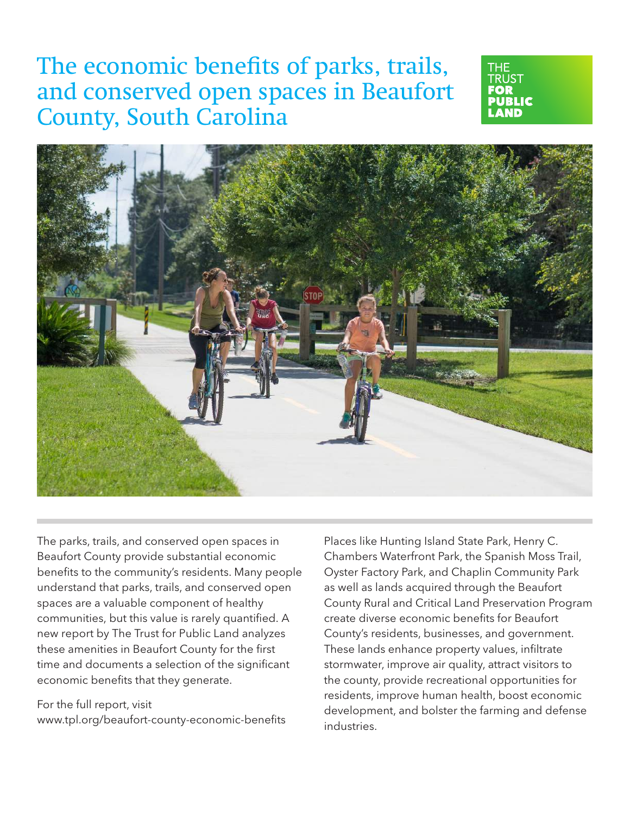# The economic benefits of parks, trails, and conserved open spaces in Beaufort County, South Carolina





The parks, trails, and conserved open spaces in Beaufort County provide substantial economic benefits to the community's residents. Many people understand that parks, trails, and conserved open spaces are a valuable component of healthy communities, but this value is rarely quantified. A new report by The Trust for Public Land analyzes these amenities in Beaufort County for the first time and documents a selection of the significant economic benefits that they generate.

For the full report, visit www.tpl.org/beaufort-county-economic-benefits Places like Hunting Island State Park, Henry C. Chambers Waterfront Park, the Spanish Moss Trail, Oyster Factory Park, and Chaplin Community Park as well as lands acquired through the Beaufort County Rural and Critical Land Preservation Program create diverse economic benefits for Beaufort County's residents, businesses, and government. These lands enhance property values, infiltrate stormwater, improve air quality, attract visitors to the county, provide recreational opportunities for residents, improve human health, boost economic development, and bolster the farming and defense industries.